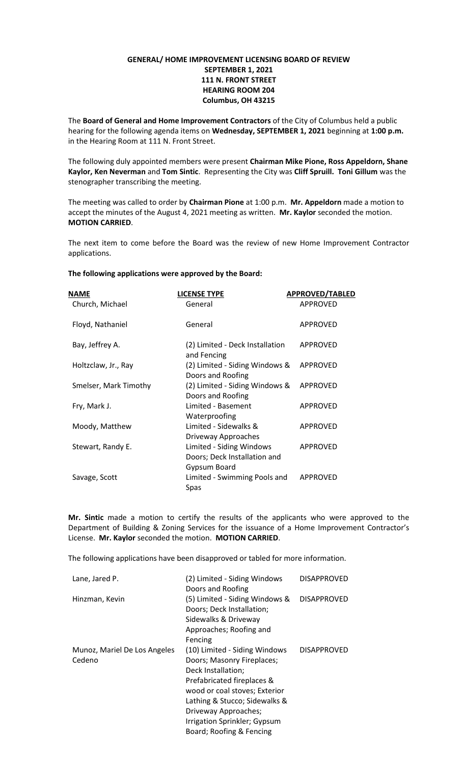## **GENERAL/ HOME IMPROVEMENT LICENSING BOARD OF REVIEW SEPTEMBER 1, 2021 111 N. FRONT STREET HEARING ROOM 204 Columbus, OH 43215**

The **Board of General and Home Improvement Contractors** of the City of Columbus held a public hearing for the following agenda items on **Wednesday, SEPTEMBER 1, 2021** beginning at **1:00 p.m.**  in the Hearing Room at 111 N. Front Street.

The following duly appointed members were present **Chairman Mike Pione, Ross Appeldorn, Shane Kaylor, Ken Neverman** and **Tom Sintic**. Representing the City was **Cliff Spruill. Toni Gillum** was the stenographer transcribing the meeting.

The meeting was called to order by **Chairman Pione** at 1:00 p.m. **Mr. Appeldorn** made a motion to accept the minutes of the August 4, 2021 meeting as written. **Mr. Kaylor** seconded the motion. **MOTION CARRIED**.

The next item to come before the Board was the review of new Home Improvement Contractor applications.

## **The following applications were approved by the Board:**

| <b>NAME</b>           | <b>LICENSE TYPE</b>                                                      | <b>APPROVED/TABLED</b> |
|-----------------------|--------------------------------------------------------------------------|------------------------|
| Church, Michael       | General                                                                  | <b>APPROVED</b>        |
| Floyd, Nathaniel      | General                                                                  | <b>APPROVED</b>        |
| Bay, Jeffrey A.       | (2) Limited - Deck Installation<br>and Fencing                           | <b>APPROVED</b>        |
| Holtzclaw, Jr., Ray   | (2) Limited - Siding Windows &<br>Doors and Roofing                      | <b>APPROVED</b>        |
| Smelser, Mark Timothy | (2) Limited - Siding Windows &<br>Doors and Roofing                      | <b>APPROVED</b>        |
| Fry, Mark J.          | Limited - Basement<br>Waterproofing                                      | <b>APPROVED</b>        |
| Moody, Matthew        | Limited - Sidewalks &<br>Driveway Approaches                             | <b>APPROVED</b>        |
| Stewart, Randy E.     | Limited - Siding Windows<br>Doors; Deck Installation and<br>Gypsum Board | APPROVED               |
| Savage, Scott         | Limited - Swimming Pools and<br>Spas                                     | <b>APPROVED</b>        |

**Mr. Sintic** made a motion to certify the results of the applicants who were approved to the Department of Building & Zoning Services for the issuance of a Home Improvement Contractor's License. **Mr. Kaylor** seconded the motion. **MOTION CARRIED**.

The following applications have been disapproved or tabled for more information.

| Lane, Jared P.                         | (2) Limited - Siding Windows<br>Doors and Roofing                                                                                                                                                                                                                     | <b>DISAPPROVED</b> |
|----------------------------------------|-----------------------------------------------------------------------------------------------------------------------------------------------------------------------------------------------------------------------------------------------------------------------|--------------------|
| Hinzman, Kevin                         | (5) Limited - Siding Windows &<br>Doors; Deck Installation;<br>Sidewalks & Driveway<br>Approaches; Roofing and<br>Fencing                                                                                                                                             | <b>DISAPPROVED</b> |
| Munoz, Mariel De Los Angeles<br>Cedeno | (10) Limited - Siding Windows<br>Doors; Masonry Fireplaces;<br>Deck Installation;<br>Prefabricated fireplaces &<br>wood or coal stoves; Exterior<br>Lathing & Stucco; Sidewalks &<br>Driveway Approaches;<br>Irrigation Sprinkler; Gypsum<br>Board; Roofing & Fencing | <b>DISAPPROVED</b> |